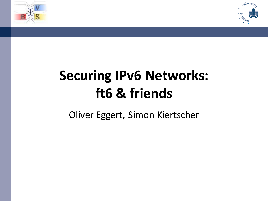



## **Securing IPv6 Networks: ft6 & friends**

<span id="page-0-0"></span>Oliver Eggert, Simon Kiertscher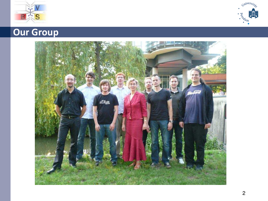



## **Our Group**

<span id="page-1-0"></span>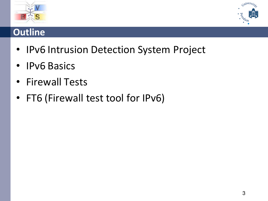



### **Outline**

- IPv6 Intrusion Detection System Project
- IPv6 Basics
- Firewall Tests
- <span id="page-2-0"></span>• FT6 (Firewall test tool for IPv6)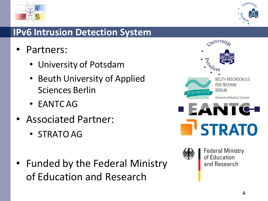



### **IPv6 Intrusion Detection System**

- Partners:
	- University of Potsdam
	- Beuth University of Applied Sciences Berlin
	- EANTC AG
- Associated Partner:
	- STRATO AG
- Funded by the Federal Ministry of Education and Research



<span id="page-3-0"></span>

**Federal Ministry** of Education and Research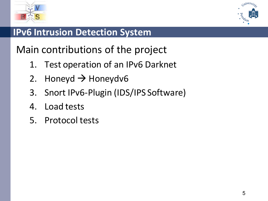



### **IPv6 Intrusion Detection System**

Main contributions of the project

- 1. Test operation of an IPv6 Darknet
- 2. Honeyd  $\rightarrow$  Honeydv6
- 3. Snort IPv6-Plugin (IDS/IPS Software)
- <span id="page-4-0"></span>4. Load tests
- 5. Protocol tests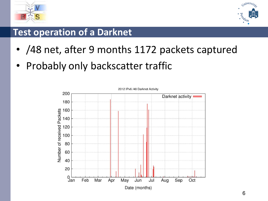



### **Test operation of a Darknet**

- /48 net, after 9 months 1172 packets captured
- Probably only backscatter traffic

<span id="page-5-0"></span>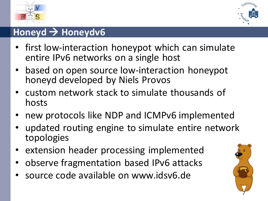



### **Honeyd Honeydv6**

- first low-interaction honeypot which can simulate entire IPv6 networks on a single host
- based on open source low-interaction honeypot honeyd developed by Niels Provos
- custom network stack to simulate thousands of hosts
- new protocols like NDP and ICMPv6 implemented
- updated routing engine to simulate entire network topologies
- extension header processing implemented
- observe fragmentation based IPv6 attacks
- source code available on www.idsv6.de

<span id="page-6-0"></span>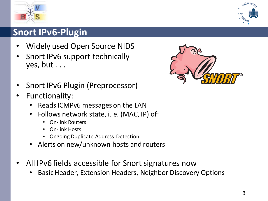

### **Snort IPv6-Plugin**

- Widely used Open Source NIDS
- Snort IPv6 support technically yes, but . . .
- Snort IPv6 Plugin (Preprocessor)
- Functionality:
	- Reads ICMPv6 messages on the LAN
	- Follows network state, i. e. (MAC, IP) of:
		- On-link Routers
		- On-link Hosts
		- Ongoing Duplicate Address Detection
	- Alerts on new/unknown hosts and routers
- All IPv6 fields accessible for Snort signatures now
	- Basic Header, Extension Headers, Neighbor Discovery Options

<span id="page-7-0"></span>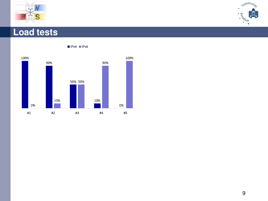





<span id="page-8-0"></span> $IPv4$  |Pv6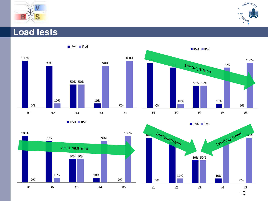





 $IPIV4$   $IPIV6$ 



<span id="page-9-0"></span>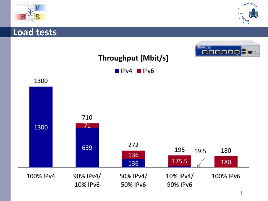



<span id="page-10-0"></span>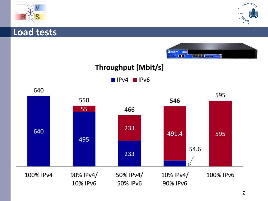





### Throughput [Mbit/s]

<span id="page-11-0"></span> $IPv4 = IPv6$ 

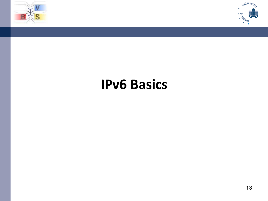



## <span id="page-12-0"></span>**IPv6 Basics**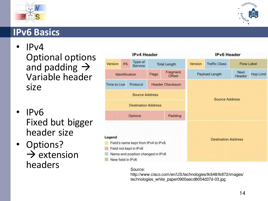



### **IPv6 Basics**

- IPv4 Optional options and padding  $\rightarrow$ Variable header size
- IPv6 Fixed but bigger header size
- Options?  $\rightarrow$  extension headers

<span id="page-13-0"></span>

|                                     |                | <b>IPv4 Header</b>         |                            |                        |         | <b>IPv6 Header</b>    |                |            |
|-------------------------------------|----------------|----------------------------|----------------------------|------------------------|---------|-----------------------|----------------|------------|
| Version                             | <b>IHL</b>     | Type of<br>Service         |                            | <b>Total Length</b>    | Version | <b>Traffic Class</b>  |                | Flow Label |
|                                     | Identification |                            | Flags                      | Fragment<br>Offset     |         | Payload Length        | Next<br>Header | Hop Limit  |
| Time to Live                        |                | Protocol                   |                            | <b>Header Checksum</b> |         |                       |                |            |
|                                     |                | <b>Source Address</b>      |                            |                        |         | <b>Source Address</b> |                |            |
|                                     |                | <b>Destination Address</b> |                            |                        |         |                       |                |            |
| Options<br>Padding                  |                |                            |                            |                        |         |                       |                |            |
|                                     |                |                            |                            |                        |         |                       |                |            |
| Legend                              |                |                            |                            |                        |         |                       |                |            |
| Field's name kept from IPv4 to IPv6 |                |                            | <b>Destination Address</b> |                        |         |                       |                |            |
| Field not kept in IPv6              |                |                            |                            |                        |         |                       |                |            |
| Name and position changed in IPv6   |                |                            |                            |                        |         |                       |                |            |
| New field in IPv6                   |                |                            |                            |                        |         |                       |                |            |

#### Source:

http://www.cisco.com/en/US/technologies/tk648/tk872/images/ technologies\_white\_paper0900aecd8054d37d-03.jpg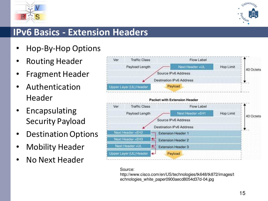



### **IPv6 Basics - Extension Headers**

- Hop-By-Hop Options
- Routing Header
- Fragment Header
- **Authentication** Header
- **Encapsulating** Security Payload
- Destination Options
- **Mobility Header**
- No Next Header

<span id="page-14-0"></span>

#### Source:

http://www.cisco.com/en/US/technologies/tk648/tk872/images/t echnologies\_white\_paper0900aecd8054d37d-04.jpg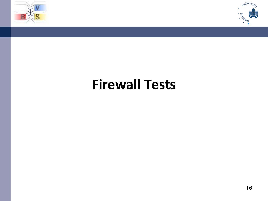



## <span id="page-15-0"></span>**Firewall Tests**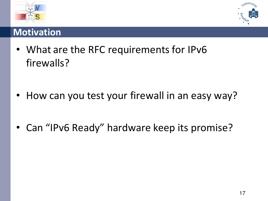



### **Motivation**

• What are the RFC requirements for IPv6 firewalls?

- <span id="page-16-0"></span>How can you test your firewall in an easy way?
- Can "IPv6 Ready" hardware keep its promise?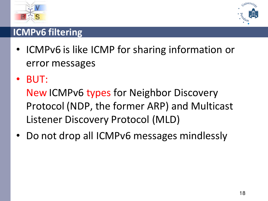



### **ICMPv6 filtering**

- ICMPv6 is like ICMP for sharing information or error messages
- BUT:

<span id="page-17-0"></span>New ICMPv6 types for Neighbor Discovery Protocol (NDP, the former ARP) and Multicast Listener Discovery Protocol (MLD)

• Do not drop all ICMPv6 messages mindlessly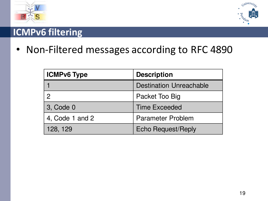



### **ICMPv6 filtering**

• Non-Filtered messages according to RFC 4890

<span id="page-18-0"></span>

| <b>ICMPv6 Type</b> | <b>Description</b>             |  |
|--------------------|--------------------------------|--|
|                    | <b>Destination Unreachable</b> |  |
|                    | Packet Too Big                 |  |
| 3, Code 0          | <b>Time Exceeded</b>           |  |
| 4, Code 1 and 2    | <b>Parameter Problem</b>       |  |
| 128, 129           | <b>Echo Request/Reply</b>      |  |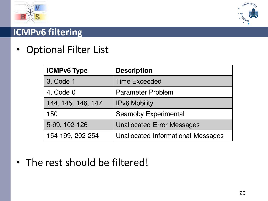



### **ICMPv6 filtering**

• Optional Filter List

<span id="page-19-0"></span>

| <b>ICMPv6 Type</b> | <b>Description</b>                 |
|--------------------|------------------------------------|
| 3, Code 1          | <b>Time Exceeded</b>               |
| 4, Code 0          | <b>Parameter Problem</b>           |
| 144, 145, 146, 147 | <b>IPv6 Mobility</b>               |
| 150                | <b>Seamoby Experimental</b>        |
| 5-99, 102-126      | <b>Unallocated Error Messages</b>  |
| 154-199, 202-254   | Unallocated Informational Messages |

• The rest should be filtered!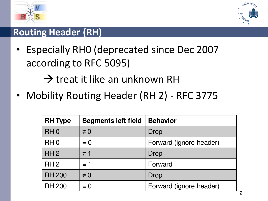



### **Routing Header (RH)**

• Especially RH0 (deprecated since Dec 2007 according to RFC 5095)

 $\rightarrow$  treat it like an unknown RH

• Mobility Routing Header (RH 2) - RFC 3775

<span id="page-20-0"></span>

| <b>RH Type</b>  | <b>Segments left field</b> | <b>Behavior</b>         |
|-----------------|----------------------------|-------------------------|
| RH <sub>0</sub> | $\neq 0$                   | Drop                    |
| RH <sub>0</sub> | $= 0$                      | Forward (ignore header) |
| RH <sub>2</sub> | $\neq$ 1                   | Drop                    |
| RH <sub>2</sub> | $= 1$                      | Forward                 |
| <b>RH 200</b>   | $\neq 0$                   | <b>Drop</b>             |
| <b>RH 200</b>   | $= 0$                      | Forward (ignore header) |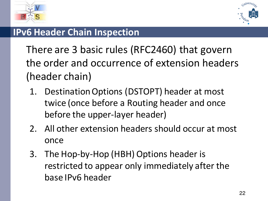



### **IPv6 Header Chain Inspection**

There are 3 basic rules (RFC2460) that govern the order and occurrence of extension headers (header chain)

- <span id="page-21-0"></span>1. Destination Options (DSTOPT) header at most twice (once before a Routing header and once before the upper-layer header)
- 2. All other extension headers should occur at most once
- 3. The Hop-by-Hop (HBH) Options header is restricted to appear only immediately after the base IPv6 header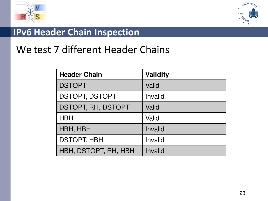



### **IPv6 Header Chain Inspection**

## We test 7 different Header Chains

<span id="page-22-0"></span>

| <b>Header Chain</b>   | <b>Validity</b> |
|-----------------------|-----------------|
| <b>DSTOPT</b>         | Valid           |
| <b>DSTOPT, DSTOPT</b> | Invalid         |
| DSTOPT, RH, DSTOPT    | Valid           |
| <b>HBH</b>            | Valid           |
| HBH, HBH              | Invalid         |
| <b>DSTOPT, HBH</b>    | Invalid         |
| HBH, DSTOPT, RH, HBH  | Invalid         |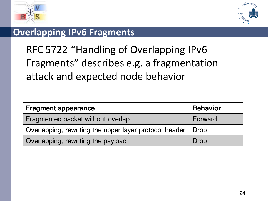



### **Overlapping IPv6 Fragments**

## RFC 5722 "Handling of Overlapping IPv6 Fragments" describes e.g. a fragmentation attack and expected node behavior

<span id="page-23-0"></span>

| <b>Fragment appearance</b>                             | <b>Behavior</b> |
|--------------------------------------------------------|-----------------|
| Fragmented packet without overlap                      | Forward         |
| Overlapping, rewriting the upper layer protocol header | Drop            |
| Overlapping, rewriting the payload                     | Drop            |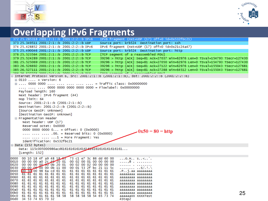



### **Overlapping IPv6 Fragments**

<span id="page-24-0"></span>

| 372 25.285318 2001:2:1::b 2001:2:2::b IPV6                                                                   | IPv6 fragment (nxt=UDP (17) off=0 id=0x532fbc21)                                              |
|--------------------------------------------------------------------------------------------------------------|-----------------------------------------------------------------------------------------------|
| 373 25.349511 2001:2:1::b 2001:2:2::b UDP                                                                    | Source port: krb524 Destination port: ssh                                                     |
| 374 25.428852 2001:2:1::b 2001:2:2::b IPv6                                                                   | IPv6 fragment (nxt=UDP (17) off=0 id=0x21c24a47)                                              |
| 375 25.490046 2001:2:1::b 2001:2:2::b UDP                                                                    | Source port: krb524 Destination port: http                                                    |
| 376 25.523564 2001:2:1::b 2001:2:2::b TCP                                                                    | [TCP segment of a reassembled PDU]                                                            |
| 379 25.524289 2001:2:1::b 2001:2:2::b TCP                                                                    | 39296 > http [ACK] Seq=81 Ack=27037 win=62976 Len=0 TSval=154793 TSecr=127430                 |
| 381 25.525069 2001:2:1::b 2001:2:2::b TCP                                                                    | 39296 > http [ACK] Seq=81 Ack=27050 Win=62976 Len=0 TSval=154793 TSecr=127430                 |
| 383 26.526692 2001:2:1::b 2001:2:2::b TCP                                                                    | 39296 > http [ACK] Seq=81 Ack=27122 Win=62976 Len=0 TSval=155043 TSecr=127681                 |
| 385 26.527111 2001:2:1::b 2001:2:2::b TCP                                                                    | 39296 > http [ACK] Seq=81 Ack=27288 Win=64512 Len=0 TSval=155043 TSecr=127681                 |
| DE EDZOZE DOOLIDIALIJK DOOLIDIJALIJK TAN                                                                     | from commont of a nonccombled noul.                                                           |
|                                                                                                              | ⊟ Internet Protoco∣ Version 6, Src: 2001:2:1::b (2001:2:1::b), Dst: 2001:2:2::b (2001:2:2::b) |
| $\boxplus$ 0110  = Version: 6                                                                                |                                                                                               |
|                                                                                                              |                                                                                               |
| $\ldots$ $\ldots$ $\ldots$ 0000 0000 0000 0000 0000 = Flowlabel: 0x00000000                                  |                                                                                               |
| Payload length: 160                                                                                          |                                                                                               |
| Next header: IPv6 fragment (44)                                                                              |                                                                                               |
| Hop limit: 64                                                                                                |                                                                                               |
| Source: 2001:2:1::b (2001:2:1::b)                                                                            |                                                                                               |
| Destination: 2001:2:2::b (2001:2:2::b)                                                                       |                                                                                               |
| [Source GeoIP: Unknown]                                                                                      |                                                                                               |
| [Destination GeoIP: Unknown]                                                                                 |                                                                                               |
| $\Box$ Fragmentation Header                                                                                  |                                                                                               |
| Next header: UDP (17)                                                                                        |                                                                                               |
| Reserved octet: 0x0000                                                                                       |                                                                                               |
| 0000 0000 0000 $0 = 0$ ffset: 0 (0x0000)                                                                     | $-0x50 = 80 =$ http                                                                           |
| .00. = Reserved bits: 0 (0x0000)                                                                             |                                                                                               |
| $\ldots$ $\ldots$ $\ldots$ $\ldots$ $\ldots$ = More Fragment: Yes                                            |                                                                                               |
| Identification: 0x532fbc21                                                                                   |                                                                                               |
| $\Box$ Data (152 bytes)                                                                                      |                                                                                               |
| Data: 115c005000986acd61616161616161616161616161616161                                                       |                                                                                               |
| [Length: 152]                                                                                                |                                                                                               |
|                                                                                                              |                                                                                               |
| 0000 00 10 18 4f a9 48 18 63 73 c1 e7 3c 86 dd 60 00<br>0010 00 00 00 a0 2c 40 20 01 00 02 00 01 00 00 00 00 | $\ldots$ 0.H. $\ldots$ 5<br>.@                                                                |
| 0020 00 00 00 00 00 00 00 00 20 01 00 02 00 02 00 00 00 00                                                   | . <sub>.</sub>                                                                                |
| 0030 00 00 00 00 00 0b 11 00 00 01 53 2f bc 21 11 5c                                                         | . 5/. ! . \                                                                                   |
| 0040 00 50 00 98 6a cd 61 61 61 61 61 61 61 61 61 61                                                         | .Pj.aa aaaaaaaa                                                                               |
|                                                                                                              | aaaaaaaa aaaaaaaa                                                                             |
|                                                                                                              | aaaaaaaa aaaaaaaa                                                                             |
|                                                                                                              | aaaaaaaa aaaaaaaa<br>aaaaaaaa aaaaaaaa                                                        |
|                                                                                                              | aaaaaaaa aaaaaaaa                                                                             |
|                                                                                                              | aaaaaaaa aaaaaaaa                                                                             |
|                                                                                                              | 25<br>aaaaaaaa aaaaaaaa                                                                       |
| 00c0 61 61 61 61 61 61 58 58 58 58 58 58 54 65 73 74<br>00d0 34 53 74 65 70 32                               | aaaaaaXX XXXXTest                                                                             |
|                                                                                                              | 4Step2                                                                                        |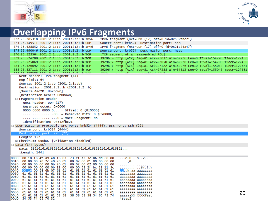



### **Overlapping IPv6 Fragments**

| 372 25.285318 2001:2:1::b 2001:2:2::b IPv6                                                                         | IPv6 fragment (nxt=UDP (17) off=0 id=0x532fbc21)                              |
|--------------------------------------------------------------------------------------------------------------------|-------------------------------------------------------------------------------|
| 373 25.349511 2001:2:1::b 2001:2:2::b UDP                                                                          | Source port: krb524 Destination port: ssh                                     |
| 374 25.428852 2001:2:1::b 2001:2:2::b IPv6                                                                         | IPv6 fragment (nxt=UDP (17) off=0 id=0x21c24a47)                              |
| 375 25.490046 2001:2:1::b 2001:2:2::b UDP                                                                          | Source port: krb524 Destination port: http                                    |
| 376 25.523564 2001:2:1::b 2001:2:2::b TCP                                                                          | [TCP segment of a reassembled PDU]                                            |
| 379 25.524289 2001:2:1::b 2001:2:2::b TCP                                                                          | 39296 > http [ACK] Seq=81 Ack=27037 win=62976 Len=0 TSval=154793 TSecr=127430 |
| 381 25.525069 2001:2:1::b 2001:2:2::b TCP                                                                          | 39296 > http [ACK] Seq=81 Ack=27050 Win=62976 Len=0 TSval=154793 TSecr=127430 |
| 383 26.526692 2001:2:1::b 2001:2:2::b TCP                                                                          | 39296 > http [ACK] Seq=81 Ack=27122 Win=62976 Len=0 TSval=155043 TSecr=127681 |
| 385 26.527111 2001:2:1::b 2001:2:2::b TCP                                                                          | 39296 > http [ACK] Seq=81 Ack=27288 Win=64512 Len=0 TSval=155043 TSecr=127681 |
| DE EDZOZE DAALIDILIJK DAALIDIDIJK TAD                                                                              | From commont of a nonceambled noul                                            |
| Next header: IPv6 fragment (44)<br>Hop limit: 64                                                                   |                                                                               |
| Source: 2001:2:1::b (2001:2:1::b)                                                                                  |                                                                               |
| Destination: 2001:2:2::b (2001:2:2::b)                                                                             |                                                                               |
| [Source GeoIP: Unknown]                                                                                            |                                                                               |
| [Destination GeoIP: Unknown]                                                                                       |                                                                               |
| □ Fragmentation Header                                                                                             |                                                                               |
| Next header: UDP (17)                                                                                              |                                                                               |
| Reserved octet: 0x0000                                                                                             |                                                                               |
| 0000 0000 0000 $0 =$ offset: 0 (0x0000)                                                                            |                                                                               |
| .00. = Reserved bits: 0 (0x0000)                                                                                   |                                                                               |
| $\ldots$ $\ldots$ $\ldots$ $\ldots$ $\ldots$ $0$ = More Fragment: No                                               |                                                                               |
| Identification: 0x532fbc21                                                                                         |                                                                               |
| ⊟ User Datagram Protocol, Src Port: krb524 (4444), Dst Port: ssh (22)                                              |                                                                               |
| Source port: krb524 (4444)                                                                                         |                                                                               |
| Destination port: ssh (22)                                                                                         |                                                                               |
| Length: 152                                                                                                        |                                                                               |
| ⊞ Checksum: 0x6b07 [validation disabled]                                                                           |                                                                               |
| $\Box$ Data (144 bytes)                                                                                            |                                                                               |
|                                                                                                                    |                                                                               |
| [Length: $144$ ]                                                                                                   |                                                                               |
| 0000 00 10 18 4f a9 48 18 03 73 c1 e7 3c 86 dd 60 00                                                               | 0.H s< .                                                                      |
|                                                                                                                    | . ,@                                                                          |
| 0020 00 00 00 00 00 0b 20 01 00 02 00 02 00 00 00 00                                                               | . <sub>.</sub>                                                                |
| 00 00 00 00 00 0b 11 00 00 00 53 2f bc 21 11 5c<br>0030<br>00 16 00 98 6b 07 61 61 61 61 61 61 61 61 61 61<br>0040 | . 5/. ! . \                                                                   |
|                                                                                                                    | k.aa aaaaaaaa<br>aaaaaaaa aaaaaaaa                                            |
| 0060 -                                                                                                             | aaaaaaaa aaaaaaaa                                                             |
|                                                                                                                    | aaaaaaaa aaaaaaaa                                                             |
|                                                                                                                    | aaaaaaaa aaaaaaaa                                                             |
|                                                                                                                    | aaaaaaaa aaaaaaaa<br>aaaaaaaa aaaaaaaa                                        |
|                                                                                                                    | 26<br>aaaaaaaa aaaaaaaa                                                       |
| 00c0 61 61 61 61 61 61 58 58 58 58 58 58 54 65 73 74                                                               | aaaaaaXX XXXXTest                                                             |
| 00d0 34 53 74 65 70 32                                                                                             | 4Step2                                                                        |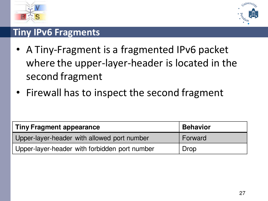



### **Tiny IPv6 Fragments**

- A Tiny-Fragment is a fragmented IPv6 packet where the upper-layer-header is located in the second fragment
- Firewall has to inspect the second fragment

| <b>Tiny Fragment appearance</b>               | <b>Behavior</b> |
|-----------------------------------------------|-----------------|
| Upper-layer-header with allowed port number   | Forward         |
| Upper-layer-header with forbidden port number | Drop            |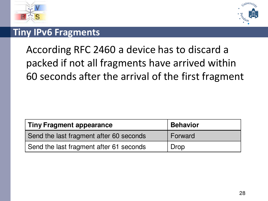



### **Tiny IPv6 Fragments**

## According RFC 2460 a device has to discard a packed if not all fragments have arrived within 60 seconds after the arrival of the first fragment

| <b>Tiny Fragment appearance</b>         | <b>Behavior</b> |
|-----------------------------------------|-----------------|
| Send the last fragment after 60 seconds | Forward         |
| Send the last fragment after 61 seconds | Drop            |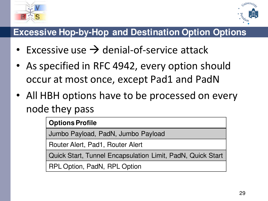



### **Excessive Hop-by-Hop and Destination Option Options**

- Excessive use  $\rightarrow$  denial-of-service attack
- As specified in RFC 4942, every option should occur at most once, except Pad1 and PadN
- All HBH options have to be processed on every node they pass

### **Options Profile**

Jumbo Payload, PadN, Jumbo Payload

Router Alert, Pad1, Router Alert

Quick Start, Tunnel Encapsulation Limit, PadN, Quick Start

RPL Option, PadN, RPL Option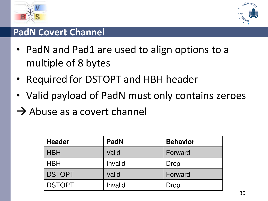



### **PadN Covert Channel**

- PadN and Pad1 are used to align options to a multiple of 8 bytes
- Required for DSTOPT and HBH header
- Valid payload of PadN must only contains zeroes
- $\rightarrow$  Abuse as a covert channel

| <b>Header</b> | <b>PadN</b> | <b>Behavior</b> |
|---------------|-------------|-----------------|
| <b>HBH</b>    | Valid       | Forward         |
| <b>HBH</b>    | Invalid     | Drop            |
| <b>DSTOPT</b> | Valid       | Forward         |
| <b>DSTOPT</b> | Invalid     | Drop            |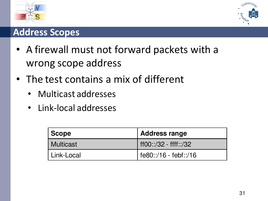



### **Address Scopes**

- A firewall must not forward packets with a wrong scope address
- The test contains a mix of different
	- Multicast addresses
	- Link-local addresses

| Scope        | Address range         |  |
|--------------|-----------------------|--|
| Multicast    | ff00::/32 - ffff::/32 |  |
| ∣ Link-Local | fe80::/16 - febf::/16 |  |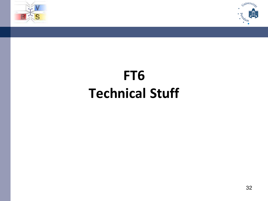



# **FT6 Technical Stuff**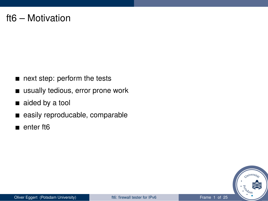#### ft6 – Motivation

- next step: perform the tests
- usually tedious, error prone work
- aided by a tool
- easily reproducable, comparable  $\blacksquare$
- enter ft<sub>6</sub>

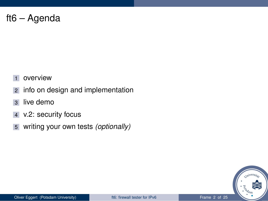#### ft6 – Agenda

- overview
- info on design and implementation
- live demo
- v.2: security focus
- writing your own tests *(optionally)*

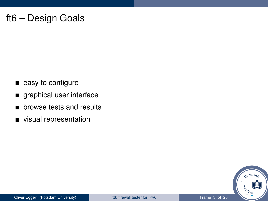#### ft6 – Design Goals

- easy to configure
- graphical user interface
- browse tests and results r
- visual representation

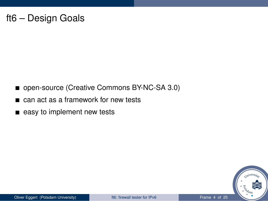#### ft6 – Design Goals

- open-source (Creative Commons BY-NC-SA 3.0)
- can act as a framework for new tests
- easy to implement new tests

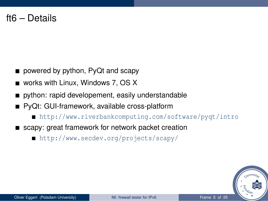- powered by python, PyQt and scapy
- works with Linux, Windows 7, OS X
- python: rapid developement, easily understandable
- PyQt: GUI-framework, available cross-platform
	- <http://www.riverbankcomputing.com/software/pyqt/intro>
- scapy: great framework for network packet creation
	- <http://www.secdev.org/projects/scapy/>

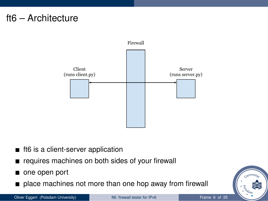#### ft6 – Architecture



- ft6 is a client-server application
- requires machines on both sides of your firewall
- one open port
- place machines not more than one hop away from firewall

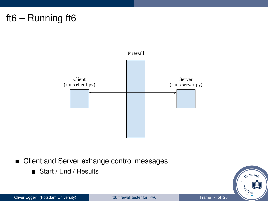

#### ■ Client and Server exhange control messages

■ Start / End / Results

Oliver Eggert (Potsdam University) and the first firewall tester for IPv6 Frame 7 of 25

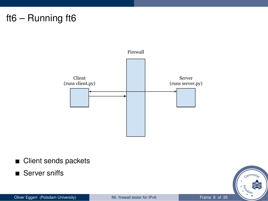

■ Client sends packets

■ Server sniffs

Oliver Eggert (Potsdam University) and the first firewall tester for IPv6 Frame 8 of 25

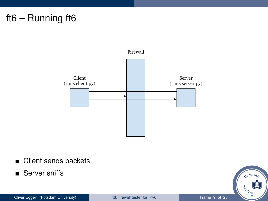

■ Client sends packets

■ Server sniffs

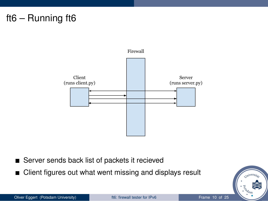

- Server sends back list of packets it recieved
- Client figures out what went missing and displays result

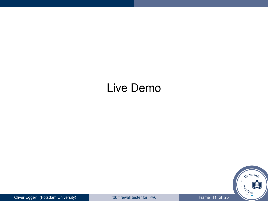#### Live Demo



Oliver Eggert (Potsdam University) **for the Collection of the Collection** of the Frame 11 of 25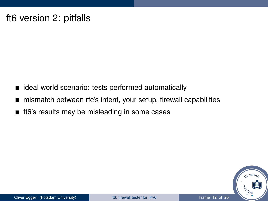#### ft6 version 2: pitfalls

- dideal world scenario: tests performed automatically
- mismatch between rfc's intent, your setup, firewall capabilities
- ft6's results may be misleading in some cases

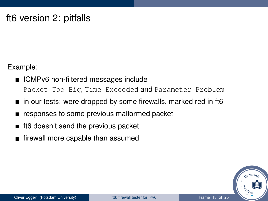#### ft6 version 2: pitfalls

Example:

- ICMPv6 non-filtered messages include Packet Too Big, Time Exceeded and Parameter Problem
- in our tests: were dropped by some firewalls, marked red in ft6
- responses to some previous malformed packet
- ft6 doesn't send the previous packet
- firewall more capable than assumed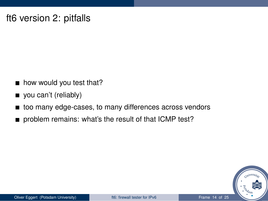#### ft6 version 2: pitfalls

- how would you test that?
- vou can't (reliably)
- too many edge-cases, to many differences across vendors
- problem remains: what's the result of that ICMP test?

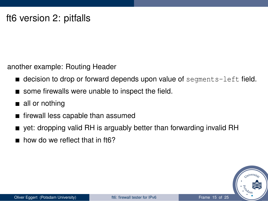another example: Routing Header

- $\blacksquare$  decision to drop or forward depends upon value of segments-left field.
- some firewalls were unable to inspect the field.
- all or nothing
- $\blacksquare$  firewall less capable than assumed
- yet: dropping valid RH is arguably better than forwarding invalid RH
- $\blacksquare$  how do we reflect that in ft6?

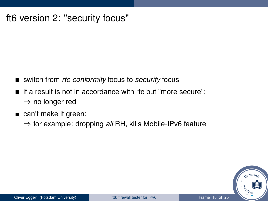#### ft6 version 2: "security focus"

- switch from *rfc-conformity* focus to *security* focus
- $\blacksquare$  if a result is not in accordance with rfc but "more secure": ⇒ no longer red
- can't make it green:
	- ⇒ for example: dropping *all* RH, kills Mobile-IPv6 feature

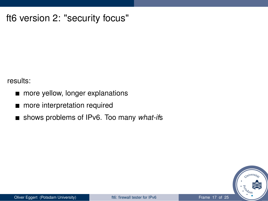#### ft6 version 2: "security focus"

results:

- more yellow, longer explanations  $\blacksquare$
- more interpretation required  $\blacksquare$
- shows problems of IPv6. Too many *what-if*s

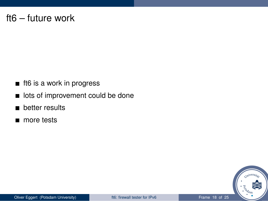#### ft6 – future work

- ft6 is a work in progress
- **In** lots of improvement could be done
- **better results**
- more tests

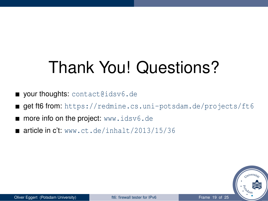### Thank You! Questions?

- your thoughts: <contact@idsv6.de>
- get ft6 from: <https://redmine.cs.uni-potsdam.de/projects/ft6>
- **more info on the project:** <www.idsv6.de>
- $\blacksquare$  article in c't: <www.ct.de/inhalt/2013/15/36>

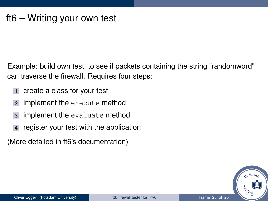Example: build own test, to see if packets containing the string "randomword" can traverse the firewall. Requires four steps:

- 1 create a class for your test
- <sup>2</sup> implement the execute method
- <sup>3</sup> implement the evaluate method
- register your test with the application

(More detailed in ft6's documentation)

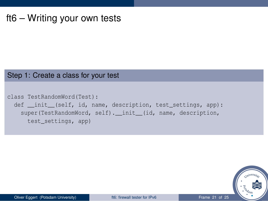#### Step 1: Create a class for your test

```
class TestRandomWord(Test):
 def __init_(self, id, name, description, test_settings, app):
   super(TestRandomWord, self). init (id, name, description,
     test_settings, app)
```
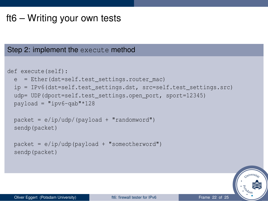#### Step 2: implement the execute method

```
def execute(self):
 e = Ether(dst=self.test_settings.router_mac)
  ip = IPv6(dst=self.test_settings.dst, src=self.test_settings.src)
 udp= UDP(dport=self.test_settings.open_port, sport=12345)
 payload = "ipv6-qab" * 128packet = e/ip/udp/(payload + "randomword")
  sendp(packet)
 packet = e/ip/udp(payload + "someotherword")
  sendp(packet)
```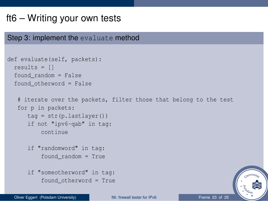#### Step 3: implement the evaluate method

```
def evaluate(self, packets):
  results = []found random = False
  found_otherword = False
   # iterate over the packets, filter those that belong to the test
   for p in packets:
     tag = str(p.lastlayer())
      if not "ipv6-qab" in tag:
          continue
      if "randomword" in tag:
          found_random = True
      if "someotherword" in tag:
          found_otherword = True
```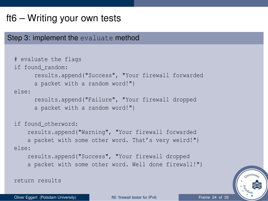#### Step 3: implement the evaluate method

```
# evaluate the flags
if found_random:
      results.append("Success", "Your firewall forwarded
      a packet with a random word!")
else:
      results.append("Failure", "Your firewall dropped
      a packet with a random word!")
if found_otherword:
    results.append("Warning", "Your firewall forwarded
    a packet with some other word. That's very weird!")
else:
    results.append("Success", "Your firewall dropped
    a packet with some other word. Well done firewall!")
return results
```